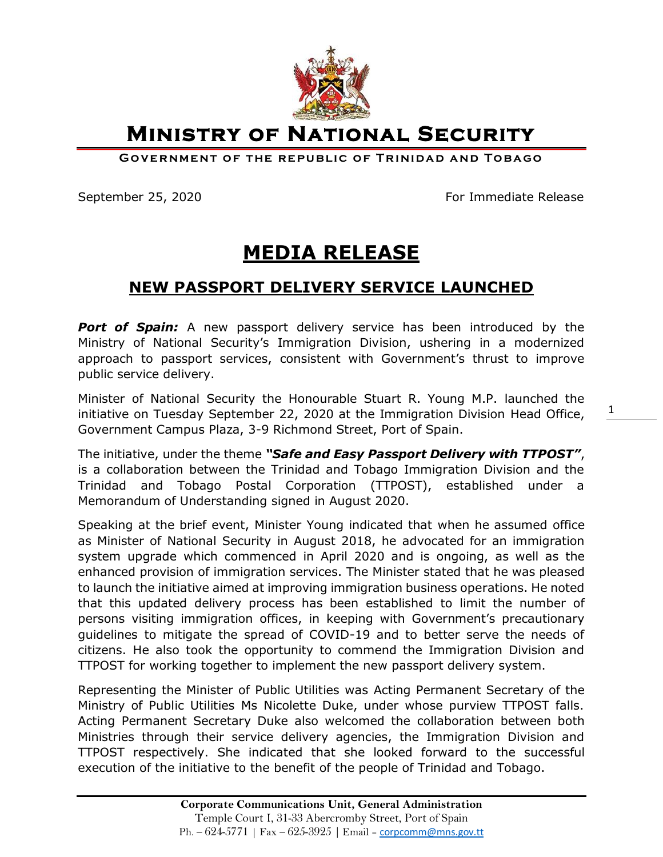

**Ministry of National Security** 

**GOVERNMENT OF THE REPUBLIC OF TRINIDAD AND TOBAGO** 

September 25, 2020 **For Immediate Release** 

1

## **MEDIA RELEASE**

## **NEW PASSPORT DELIVERY SERVICE LAUNCHED**

**Port of Spain:** A new passport delivery service has been introduced by the Ministry of National Security's Immigration Division, ushering in a modernized approach to passport services, consistent with Government's thrust to improve public service delivery.

Minister of National Security the Honourable Stuart R. Young M.P. launched the initiative on Tuesday September 22, 2020 at the Immigration Division Head Office, Government Campus Plaza, 3-9 Richmond Street, Port of Spain.

The initiative, under the theme *"Safe and Easy Passport Delivery with TTPOST"*, is a collaboration between the Trinidad and Tobago Immigration Division and the Trinidad and Tobago Postal Corporation (TTPOST), established under a Memorandum of Understanding signed in August 2020.

Speaking at the brief event, Minister Young indicated that when he assumed office as Minister of National Security in August 2018, he advocated for an immigration system upgrade which commenced in April 2020 and is ongoing, as well as the enhanced provision of immigration services. The Minister stated that he was pleased to launch the initiative aimed at improving immigration business operations. He noted that this updated delivery process has been established to limit the number of persons visiting immigration offices, in keeping with Government's precautionary guidelines to mitigate the spread of COVID-19 and to better serve the needs of citizens. He also took the opportunity to commend the Immigration Division and TTPOST for working together to implement the new passport delivery system.

Representing the Minister of Public Utilities was Acting Permanent Secretary of the Ministry of Public Utilities Ms Nicolette Duke, under whose purview TTPOST falls. Acting Permanent Secretary Duke also welcomed the collaboration between both Ministries through their service delivery agencies, the Immigration Division and TTPOST respectively. She indicated that she looked forward to the successful execution of the initiative to the benefit of the people of Trinidad and Tobago.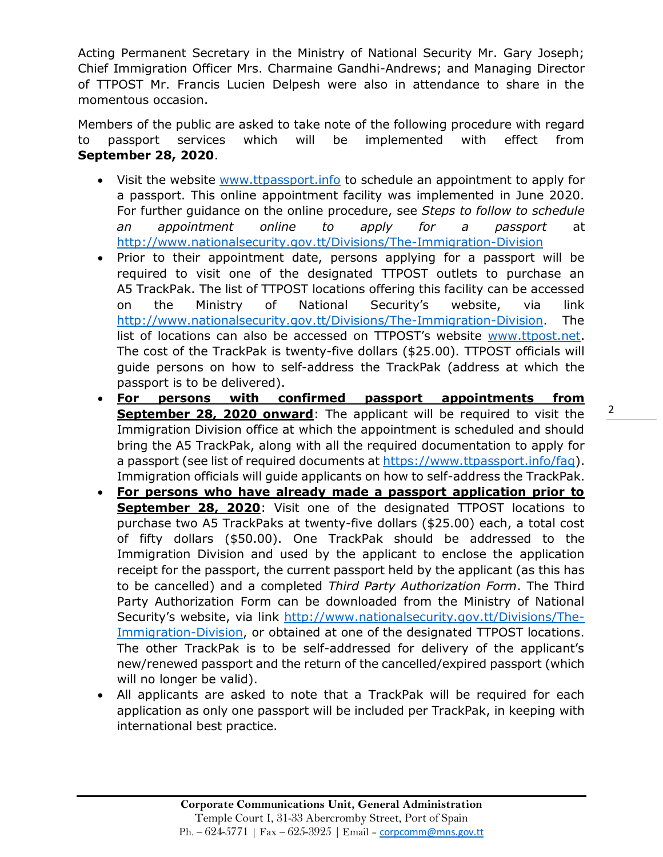Acting Permanent Secretary in the Ministry of National Security Mr. Gary Joseph; Chief Immigration Officer Mrs. Charmaine Gandhi-Andrews; and Managing Director of TTPOST Mr. Francis Lucien Delpesh were also in attendance to share in the momentous occasion.

Members of the public are asked to take note of the following procedure with regard to passport services which will be implemented with effect from **September 28, 2020**.

- Visit the website [www.ttpassport.info](http://www.ttpassport.info/) to schedule an appointment to apply for a passport. This online appointment facility was implemented in June 2020. For further guidance on the online procedure, see *Steps to follow to schedule an appointment online to apply for a passport* at <http://www.nationalsecurity.gov.tt/Divisions/The-Immigration-Division>
- Prior to their appointment date, persons applying for a passport will be required to visit one of the designated TTPOST outlets to purchase an A5 TrackPak. The list of TTPOST locations offering this facility can be accessed on the Ministry of National Security's website, via link [http://www.nationalsecurity.gov.tt/Divisions/The-Immigration-Division.](http://www.nationalsecurity.gov.tt/Divisions/The-Immigration-Division) The list of locations can also be accessed on TTPOST's website [www.ttpost.net.](http://www.ttpost.net/) The cost of the TrackPak is twenty-five dollars (\$25.00). TTPOST officials will guide persons on how to self-address the TrackPak (address at which the passport is to be delivered).
- **For persons with confirmed passport appointments from September 28, 2020 onward**: The applicant will be required to visit the Immigration Division office at which the appointment is scheduled and should bring the A5 TrackPak, along with all the required documentation to apply for a passport (see list of required documents at [https://www.ttpassport.info/faq\)](https://www.ttpassport.info/faq). Immigration officials will guide applicants on how to self-address the TrackPak.
- **For persons who have already made a passport application prior to September 28, 2020**: Visit one of the designated TTPOST locations to purchase two A5 TrackPaks at twenty-five dollars (\$25.00) each, a total cost of fifty dollars (\$50.00). One TrackPak should be addressed to the Immigration Division and used by the applicant to enclose the application receipt for the passport, the current passport held by the applicant (as this has to be cancelled) and a completed *Third Party Authorization Form*. The Third Party Authorization Form can be downloaded from the Ministry of National Security's website, via link [http://www.nationalsecurity.gov.tt/Divisions/The-](http://www.nationalsecurity.gov.tt/Divisions/The-Immigration-Division)[Immigration-Division,](http://www.nationalsecurity.gov.tt/Divisions/The-Immigration-Division) or obtained at one of the designated TTPOST locations. The other TrackPak is to be self-addressed for delivery of the applicant's new/renewed passport and the return of the cancelled/expired passport (which will no longer be valid).
- All applicants are asked to note that a TrackPak will be required for each application as only one passport will be included per TrackPak, in keeping with international best practice.